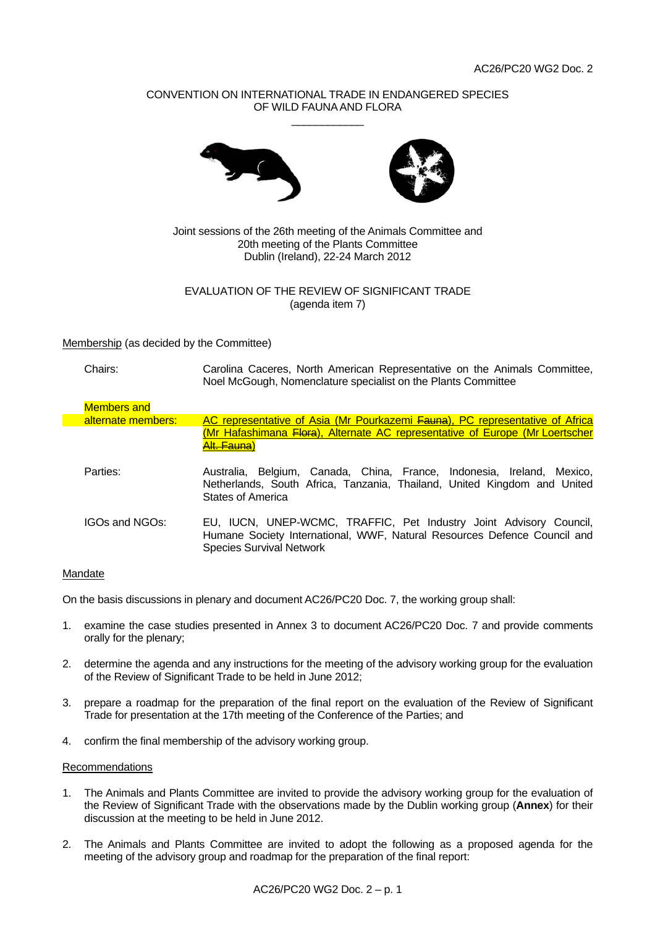# CONVENTION ON INTERNATIONAL TRADE IN ENDANGERED SPECIES OF WILD FAUNA AND FLORA \_\_\_\_\_\_\_\_\_\_\_\_





Joint sessions of the 26th meeting of the Animals Committee and 20th meeting of the Plants Committee Dublin (Ireland), 22-24 March 2012

# EVALUATION OF THE REVIEW OF SIGNIFICANT TRADE (agenda item 7)

Membership (as decided by the Committee)

| Chairs: | Carolina Caceres, North American Representative on the Animals Committee, |
|---------|---------------------------------------------------------------------------|
|         | Noel McGough, Nomenclature specialist on the Plants Committee             |

| <b>Members and</b> |                                                                                                                                                                                   |
|--------------------|-----------------------------------------------------------------------------------------------------------------------------------------------------------------------------------|
| alternate members: | AC representative of Asia (Mr Pourkazemi Fauna), PC representative of Africa                                                                                                      |
|                    | (Mr Hafashimana Flora), Alternate AC representative of Europe (Mr Loertscher<br><del>Alt. Fauna</del> )                                                                           |
| Parties:           | Australia, Belgium, Canada, China, France, Indonesia, Ireland, Mexico,<br>Netherlands, South Africa, Tanzania, Thailand, United Kingdom and United<br>States of America           |
| IGOs and NGOs:     | EU, IUCN, UNEP-WCMC, TRAFFIC, Pet Industry Joint Advisory Council,<br>Humane Society International, WWF, Natural Resources Defence Council and<br><b>Species Survival Network</b> |

### Mandate

On the basis discussions in plenary and document AC26/PC20 Doc. 7, the working group shall:

- 1. examine the case studies presented in Annex 3 to document AC26/PC20 Doc. 7 and provide comments orally for the plenary;
- 2. determine the agenda and any instructions for the meeting of the advisory working group for the evaluation of the Review of Significant Trade to be held in June 2012;
- 3. prepare a roadmap for the preparation of the final report on the evaluation of the Review of Significant Trade for presentation at the 17th meeting of the Conference of the Parties; and
- 4. confirm the final membership of the advisory working group.

### Recommendations

- 1. The Animals and Plants Committee are invited to provide the advisory working group for the evaluation of the Review of Significant Trade with the observations made by the Dublin working group (**Annex**) for their discussion at the meeting to be held in June 2012.
- 2. The Animals and Plants Committee are invited to adopt the following as a proposed agenda for the meeting of the advisory group and roadmap for the preparation of the final report: